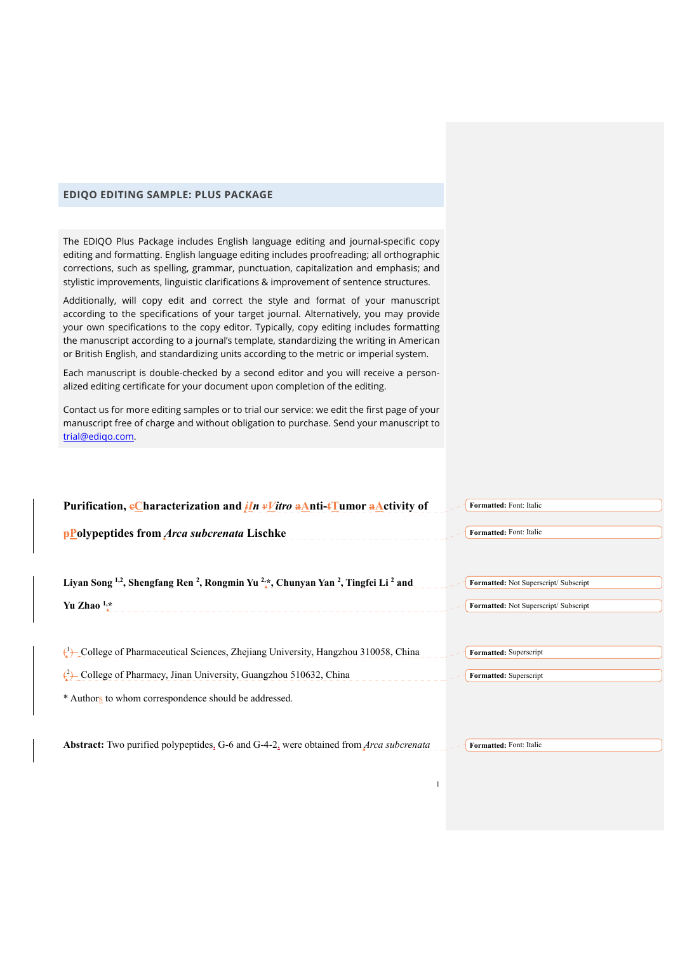## **EDIQO EDITING SAMPLE: PLUS PACKAGE**

The EDIQO Plus Package includes English language editing and journal-specific copy editing and formatting. English language editing includes proofreading; all orthographic corrections, such as spelling, grammar, punctuation, capitalization and emphasis; and stylistic improvements, linguistic clarifications & improvement of sentence structures.

Additionally, will copy edit and correct the style and format of your manuscript according to the specifications of your target journal. Alternatively, you may provide your own specifications to the copy editor. Typically, copy editing includes formatting the manuscript according to a journal's template, standardizing the writing in American or British English, and standardizing units according to the metric or imperial system.

Each manuscript is double-checked by a second editor and you will receive a personalized editing certificate for your document upon completion of the editing.

Contact us for more editing samples or to trial our service: we edit the first page of your manuscript free of charge and without obligation to purchase. Send your manuscript to trial@ediqo.com.

| Purification, eCharacterization and $iIn \nu V$ itro aAnti-tTumor aActivity of                                                              | Formatted: Font: Italic               |
|---------------------------------------------------------------------------------------------------------------------------------------------|---------------------------------------|
| <b>PPolypeptides from Arca subcrenata Lischke</b>                                                                                           | Formatted: Font: Italic               |
|                                                                                                                                             |                                       |
| Liyan Song <sup>1,2</sup> , Shengfang Ren <sup>2</sup> , Rongmin Yu <sup>2,*</sup> , Chunyan Yan <sup>2</sup> , Tingfei Li <sup>2</sup> and | Formatted: Not Superscript/ Subscript |
| Yu Zhao $1, *$                                                                                                                              | Formatted: Not Superscript/ Subscript |
|                                                                                                                                             |                                       |
| $\left(\frac{1}{2}\right)$ College of Pharmaceutical Sciences, Zhejiang University, Hangzhou 310058, China                                  | Formatted: Superscript                |
| $\binom{2}{1}$ -College of Pharmacy, Jinan University, Guangzhou 510632, China                                                              | Formatted: Superscript                |
| * Authors to whom correspondence should be addressed.                                                                                       |                                       |
|                                                                                                                                             |                                       |
| <b>Abstract:</b> Two purified polypeptides, G-6 and G-4-2, were obtained from <i>Arca subcrenata</i>                                        | Formatted: Font: Italic               |

1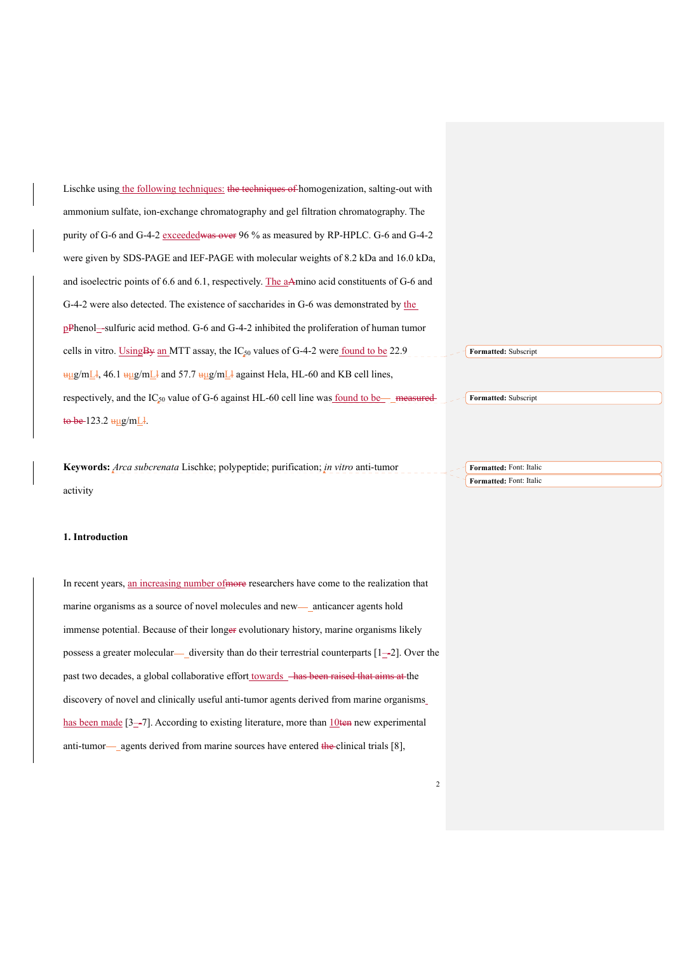Lischke using the following techniques: the techniques of homogenization, salting-out with ammonium sulfate, ion-exchange chromatography and gel filtration chromatography. The purity of G-6 and G-4-2 exceededwas over 96 % as measured by RP-HPLC. G-6 and G-4-2 were given by SDS-PAGE and IEF-PAGE with molecular weights of 8.2 kDa and 16.0 kDa, and isoelectric points of 6.6 and 6.1, respectively. The aAmino acid constituents of G-6 and G-4-2 were also detected. The existence of saccharides in G-6 was demonstrated by the pPhenol–-sulfuric acid method. G-6 and G-4-2 inhibited the proliferation of human tumor cells in vitro. Using By an MTT assay, the  $IC_{50}$  values of G-4-2 were found to be 22.9  $\frac{u_{\mu}g}{mL}$ , 46.1  $\frac{u_{\mu}g}{mL}$  and 57.7  $\frac{u_{\mu}g}{mL}$  against Hela, HL-60 and KB cell lines, respectively, and the  $IC_{50}$  value of G-6 against HL-60 cell line was found to be measured  $to be 123.2 \frac{\mu\mu g}{mL}.$ **Formatted:** Subscript **Formatted:** Subscript

**Keywords:** *Arca subcrenata* Lischke; polypeptide; purification; *in vitro* anti-tumor activity **Formatted:** Font: Italic **Formatted:** Font: Italic

## **1. Introduction**

In recent years, an increasing number of more researchers have come to the realization that marine organisms as a source of novel molecules and new— anticancer agents hold immense potential. Because of their longer evolutionary history, marine organisms likely possess a greater molecular— diversity than do their terrestrial counterparts  $[1–2]$ . Over the past two decades, a global collaborative effort towards  $-\text{has been raised that aims at the}$ discovery of novel and clinically useful anti-tumor agents derived from marine organisms has been made  $[3-7]$ . According to existing literature, more than  $10$ ten new experimental anti-tumor— agents derived from marine sources have entered the clinical trials  $[8]$ ,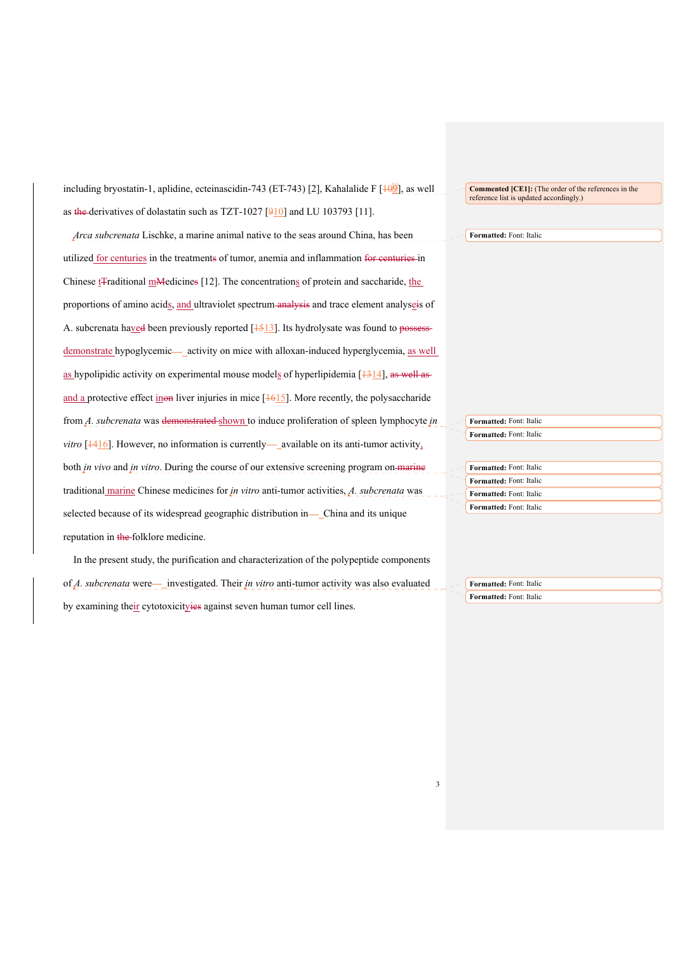including bryostatin-1, aplidine, ecteinascidin-743 (ET-743) [2], Kahalalide F [109], as well as the derivatives of dolastatin such as TZT-1027  $[910]$  and LU 103793 [11].

*Arca subcrenata* Lischke, a marine animal native to the seas around China, has been utilized for centuries in the treatments of tumor, anemia and inflammation for centuries in Chinese t<sub>T</sub>raditional m<sub>M</sub>edicines [12]. The concentrations of protein and saccharide, the proportions of amino acids, and ultraviolet spectrum analysis and trace element analyseis of A. subcrenata haved been previously reported  $[1513]$ . Its hydrolysate was found to possessdemonstrate hypoglycemic—activity on mice with alloxan-induced hyperglycemia, as well as hypolipidic activity on experimental mouse models of hyperlipidemia  $[1314]$ , as well as and a protective effect inon liver injuries in mice [ $\frac{1615}{16}$ ]. More recently, the polysaccharide from *A. subcrenata* was demonstrated shown to induce proliferation of spleen lymphocyte *in vitro*  $[1416]$ . However, no information is currently— available on its anti-tumor activity, both *in vivo* and *in vitro*. During the course of our extensive screening program on marine traditional marine Chinese medicines for *in vitro* anti-tumor activities, *A. subcrenata* was selected because of its widespread geographic distribution in-China and its unique reputation in the folklore medicine.

In the present study, the purification and characterization of the polypeptide components of *A. subcrenata* were—\_investigated. Their *in vitro* anti-tumor activity was also evaluated by examining their cytotoxicityies against seven human tumor cell lines.

**Commented [CE1]:** (The order of the references in the reference list is updated accordingly.)

**Formatted:** Font: Italic

**Formatted:** Font: Italic **Formatted:** Font: Italic

| <b>Formatted:</b> Font: Italic |
|--------------------------------|
| <b>Formatted:</b> Font: Italic |
| <b>Formatted:</b> Font: Italic |
| <b>Formatted:</b> Font: Italic |

**Formatted:** Font: Italic **Formatted:** Font: Italic

3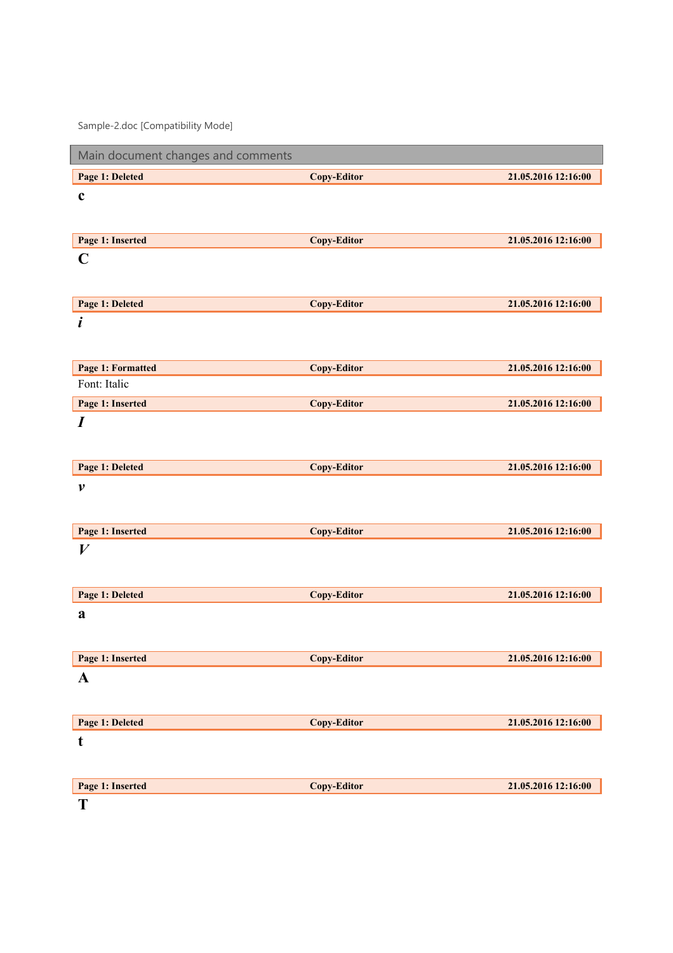Sample-2.doc [Compatibility Mode]

| Main document changes and comments |                    |                     |
|------------------------------------|--------------------|---------------------|
| Page 1: Deleted                    | <b>Copy-Editor</b> | 21.05.2016 12:16:00 |
| $\mathbf c$                        |                    |                     |
|                                    |                    |                     |
| Page 1: Inserted                   | <b>Copy-Editor</b> | 21.05.2016 12:16:00 |
| $\mathbf C$                        |                    |                     |
|                                    |                    |                     |
| Page 1: Deleted                    | <b>Copy-Editor</b> | 21.05.2016 12:16:00 |
| i                                  |                    |                     |
|                                    |                    |                     |
| Page 1: Formatted                  | <b>Copy-Editor</b> | 21.05.2016 12:16:00 |
| Font: Italic                       |                    |                     |
| Page 1: Inserted                   | <b>Copy-Editor</b> | 21.05.2016 12:16:00 |
| $\boldsymbol{I}$                   |                    |                     |
|                                    |                    |                     |
| Page 1: Deleted                    | <b>Copy-Editor</b> | 21.05.2016 12:16:00 |
| $\boldsymbol{\nu}$                 |                    |                     |
|                                    |                    |                     |
| Page 1: Inserted                   | <b>Copy-Editor</b> | 21.05.2016 12:16:00 |
| $\boldsymbol{V}$                   |                    |                     |
|                                    |                    |                     |
| Page 1: Deleted                    | <b>Copy-Editor</b> | 21.05.2016 12:16:00 |
| a                                  |                    |                     |
|                                    |                    |                     |
| Page 1: Inserted                   | Copy-Editor        | 21.05.2016 12:16:00 |
| $\mathbf A$                        |                    |                     |
|                                    |                    |                     |
| Page 1: Deleted                    | <b>Copy-Editor</b> | 21.05.2016 12:16:00 |
| $\mathbf t$                        |                    |                     |
|                                    |                    |                     |
| Page 1: Inserted                   | <b>Copy-Editor</b> | 21.05.2016 12:16:00 |
| $\mathbf{T}$                       |                    |                     |

 $\bf{T}$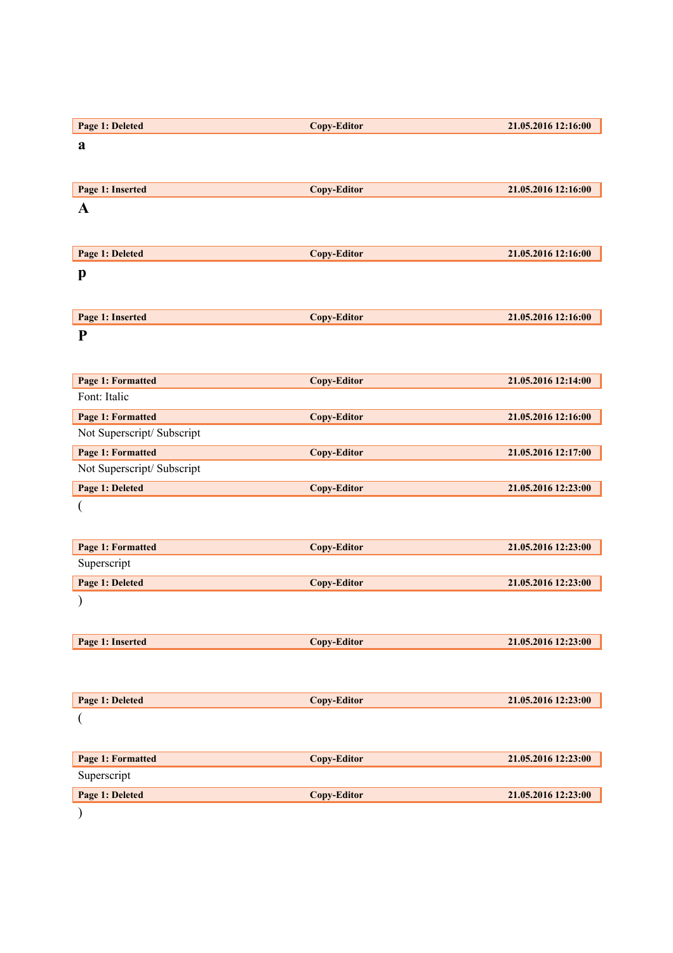| Page 1: Deleted            | <b>Copy-Editor</b> | 21.05.2016 12:16:00 |
|----------------------------|--------------------|---------------------|
| a                          |                    |                     |
|                            |                    |                     |
|                            |                    |                     |
| Page 1: Inserted           | <b>Copy-Editor</b> | 21.05.2016 12:16:00 |
| $\mathbf A$                |                    |                     |
|                            |                    |                     |
| Page 1: Deleted            | <b>Copy-Editor</b> | 21.05.2016 12:16:00 |
| p                          |                    |                     |
|                            |                    |                     |
|                            |                    |                     |
| Page 1: Inserted           | <b>Copy-Editor</b> | 21.05.2016 12:16:00 |
| ${\bf P}$                  |                    |                     |
|                            |                    |                     |
| Page 1: Formatted          | <b>Copy-Editor</b> | 21.05.2016 12:14:00 |
| Font: Italic               |                    |                     |
| Page 1: Formatted          | <b>Copy-Editor</b> | 21.05.2016 12:16:00 |
| Not Superscript/ Subscript |                    |                     |
| Page 1: Formatted          | <b>Copy-Editor</b> | 21.05.2016 12:17:00 |
| Not Superscript/ Subscript |                    |                     |
| Page 1: Deleted            | <b>Copy-Editor</b> | 21.05.2016 12:23:00 |
|                            |                    |                     |
|                            |                    |                     |
| Page 1: Formatted          | <b>Copy-Editor</b> | 21.05.2016 12:23:00 |
| Superscript                |                    |                     |
| Page 1: Deleted            | <b>Copy-Editor</b> | 21.05.2016 12:23:00 |
|                            |                    |                     |
|                            |                    |                     |
|                            |                    |                     |
| Page 1: Inserted           | <b>Copy-Editor</b> | 21.05.2016 12:23:00 |
|                            |                    |                     |
|                            |                    |                     |
| Page 1: Deleted            | <b>Copy-Editor</b> | 21.05.2016 12:23:00 |
| (                          |                    |                     |
|                            |                    |                     |
| Page 1: Formatted          | <b>Copy-Editor</b> | 21.05.2016 12:23:00 |
| Superscript                |                    |                     |
| Page 1: Deleted            | <b>Copy-Editor</b> | 21.05.2016 12:23:00 |
|                            |                    |                     |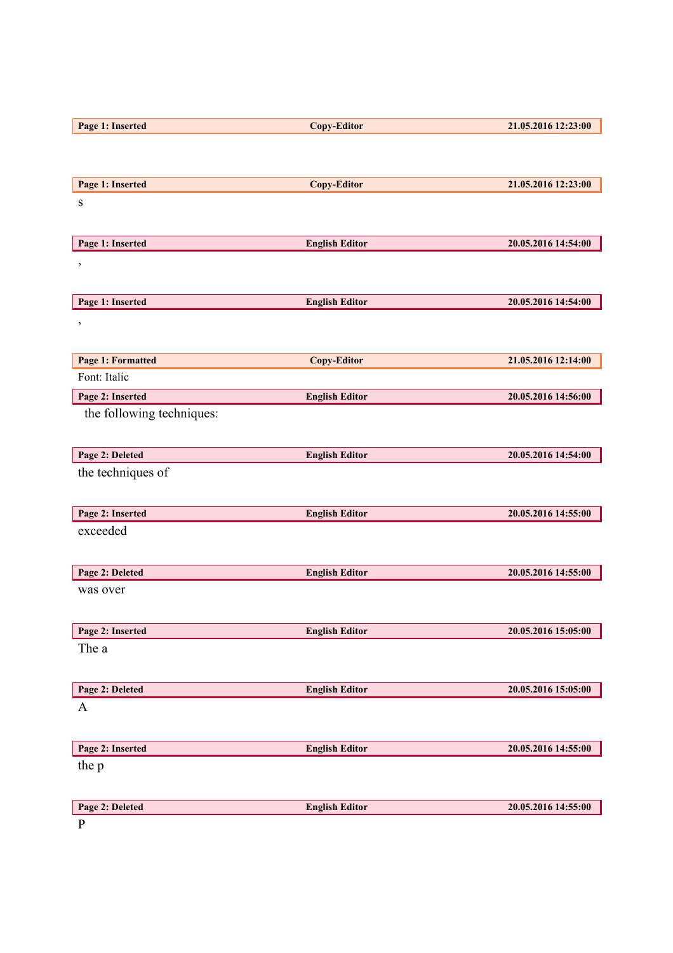| Page 1: Inserted          | <b>Copy-Editor</b>    | 21.05.2016 12:23:00 |
|---------------------------|-----------------------|---------------------|
|                           |                       |                     |
|                           |                       |                     |
| Page 1: Inserted          | <b>Copy-Editor</b>    | 21.05.2016 12:23:00 |
| ${\bf S}$                 |                       |                     |
|                           |                       |                     |
|                           |                       |                     |
| Page 1: Inserted          | <b>English Editor</b> | 20.05.2016 14:54:00 |
| $\,$                      |                       |                     |
|                           |                       |                     |
| Page 1: Inserted          | <b>English Editor</b> | 20.05.2016 14:54:00 |
| $\pmb{\mathcal{I}}$       |                       |                     |
|                           |                       |                     |
| Page 1: Formatted         | <b>Copy-Editor</b>    | 21.05.2016 12:14:00 |
| Font: Italic              |                       |                     |
| Page 2: Inserted          | <b>English Editor</b> | 20.05.2016 14:56:00 |
|                           |                       |                     |
| the following techniques: |                       |                     |
|                           |                       |                     |
| Page 2: Deleted           | <b>English Editor</b> | 20.05.2016 14:54:00 |
| the techniques of         |                       |                     |
|                           |                       |                     |
| Page 2: Inserted          | <b>English Editor</b> | 20.05.2016 14:55:00 |
| exceeded                  |                       |                     |
|                           |                       |                     |
|                           |                       |                     |
| Page 2: Deleted           | <b>English Editor</b> | 20.05.2016 14:55:00 |
| was over                  |                       |                     |
|                           |                       |                     |
| Page 2: Inserted          | <b>English Editor</b> | 20.05.2016 15:05:00 |
| The a                     |                       |                     |
|                           |                       |                     |
| Page 2: Deleted           | <b>English Editor</b> | 20.05.2016 15:05:00 |
| $\mathbf{A}$              |                       |                     |
|                           |                       |                     |
|                           |                       |                     |
| Page 2: Inserted          | <b>English Editor</b> | 20.05.2016 14:55:00 |
| the p                     |                       |                     |
|                           |                       |                     |
| Page 2: Deleted           | <b>English Editor</b> | 20.05.2016 14:55:00 |
| $\mathbf{P}$              |                       |                     |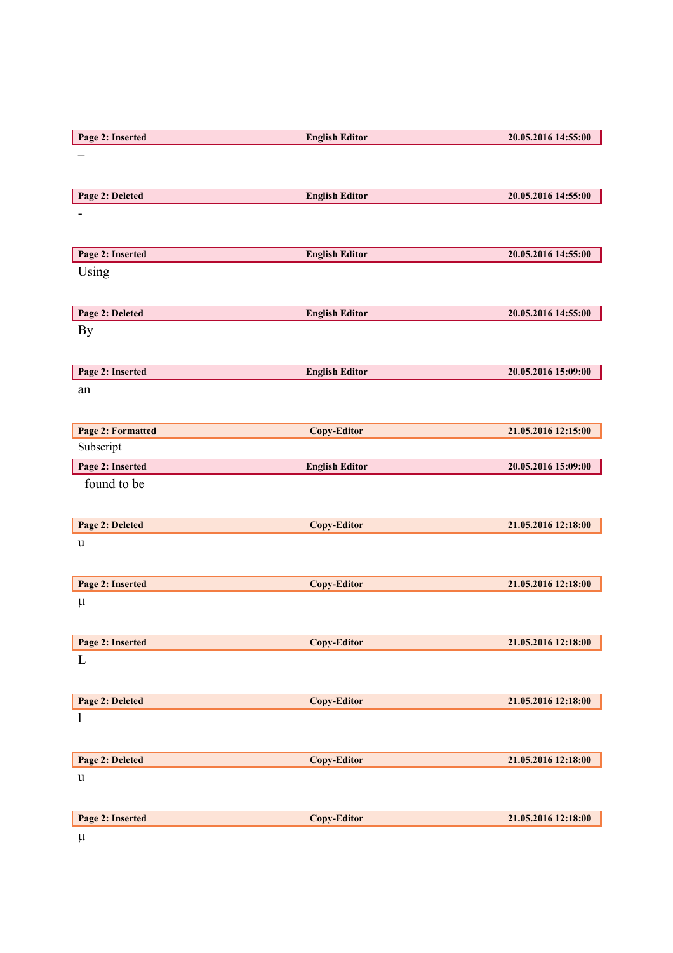| Page 2: Inserted  | <b>English Editor</b> | 20.05.2016 14:55:00 |
|-------------------|-----------------------|---------------------|
|                   |                       |                     |
|                   |                       |                     |
| Page 2: Deleted   | <b>English Editor</b> | 20.05.2016 14:55:00 |
|                   |                       |                     |
|                   |                       |                     |
|                   |                       |                     |
| Page 2: Inserted  | <b>English Editor</b> | 20.05.2016 14:55:00 |
| Using             |                       |                     |
|                   |                       |                     |
| Page 2: Deleted   | <b>English Editor</b> | 20.05.2016 14:55:00 |
| By                |                       |                     |
|                   |                       |                     |
| Page 2: Inserted  | <b>English Editor</b> | 20.05.2016 15:09:00 |
| an                |                       |                     |
|                   |                       |                     |
|                   |                       |                     |
| Page 2: Formatted | <b>Copy-Editor</b>    | 21.05.2016 12:15:00 |
| Subscript         |                       |                     |
| Page 2: Inserted  | <b>English Editor</b> | 20.05.2016 15:09:00 |
| found to be       |                       |                     |
|                   |                       |                     |
| Page 2: Deleted   | <b>Copy-Editor</b>    | 21.05.2016 12:18:00 |
| u                 |                       |                     |
|                   |                       |                     |
| Page 2: Inserted  | <b>Copy-Editor</b>    | 21.05.2016 12:18:00 |
| $\mu$             |                       |                     |
|                   |                       |                     |
|                   |                       |                     |
| Page 2: Inserted  | <b>Copy-Editor</b>    | 21.05.2016 12:18:00 |
| L                 |                       |                     |
|                   |                       |                     |
| Page 2: Deleted   | <b>Copy-Editor</b>    | 21.05.2016 12:18:00 |
| $\mathbf{1}$      |                       |                     |
|                   |                       |                     |
| Page 2: Deleted   | <b>Copy-Editor</b>    | 21.05.2016 12:18:00 |
| $\mathbf u$       |                       |                     |
|                   |                       |                     |
|                   |                       |                     |
| Page 2: Inserted  | Copy-Editor           | 21.05.2016 12:18:00 |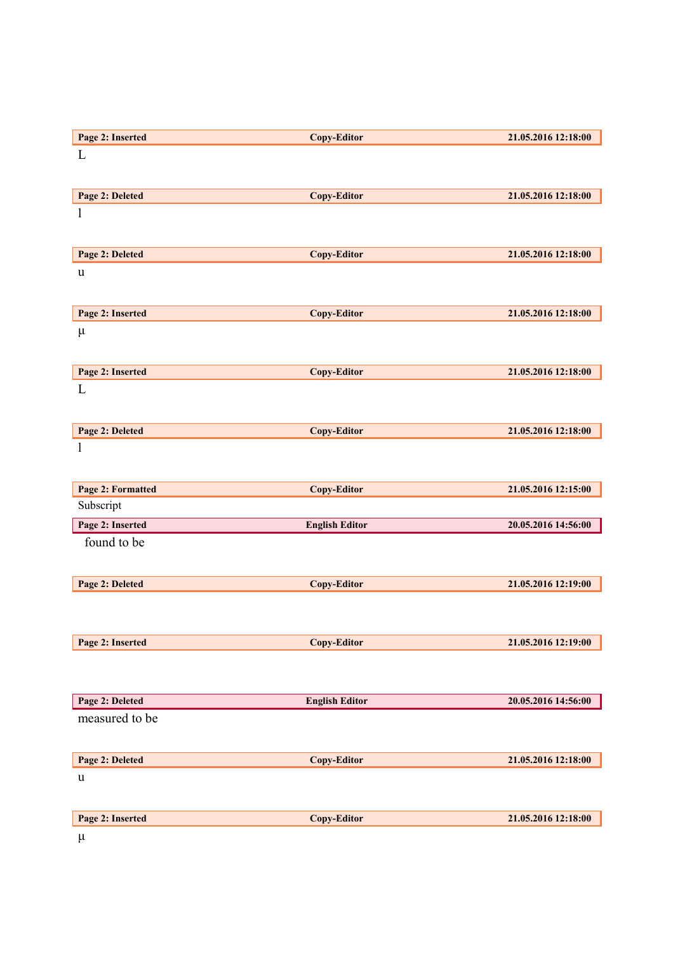| L<br>Page 2: Deleted<br><b>Copy-Editor</b><br>21.05.2016 12:18:00<br>1<br>Page 2: Deleted<br>21.05.2016 12:18:00<br><b>Copy-Editor</b><br>$\mathbf u$<br>Page 2: Inserted<br><b>Copy-Editor</b><br>21.05.2016 12:18:00<br>$\mu$<br><b>Copy-Editor</b><br>Page 2: Inserted<br>21.05.2016 12:18:00<br>L<br>Page 2: Deleted<br>21.05.2016 12:18:00<br><b>Copy-Editor</b><br>1<br><b>Page 2: Formatted</b><br><b>Copy-Editor</b><br>21.05.2016 12:15:00<br>Subscript<br>Page 2: Inserted<br>20.05.2016 14:56:00<br><b>English Editor</b><br>found to be<br>Page 2: Deleted<br><b>Copy-Editor</b><br>21.05.2016 12:19:00<br>Page 2: Inserted<br><b>Copy-Editor</b><br>21.05.2016 12:19:00<br>Page 2: Deleted<br><b>English Editor</b><br>20.05.2016 14:56:00<br>measured to be | Page 2: Inserted | <b>Copy-Editor</b> | 21.05.2016 12:18:00 |
|---------------------------------------------------------------------------------------------------------------------------------------------------------------------------------------------------------------------------------------------------------------------------------------------------------------------------------------------------------------------------------------------------------------------------------------------------------------------------------------------------------------------------------------------------------------------------------------------------------------------------------------------------------------------------------------------------------------------------------------------------------------------------|------------------|--------------------|---------------------|
|                                                                                                                                                                                                                                                                                                                                                                                                                                                                                                                                                                                                                                                                                                                                                                           |                  |                    |                     |
|                                                                                                                                                                                                                                                                                                                                                                                                                                                                                                                                                                                                                                                                                                                                                                           |                  |                    |                     |
|                                                                                                                                                                                                                                                                                                                                                                                                                                                                                                                                                                                                                                                                                                                                                                           |                  |                    |                     |
|                                                                                                                                                                                                                                                                                                                                                                                                                                                                                                                                                                                                                                                                                                                                                                           |                  |                    |                     |
|                                                                                                                                                                                                                                                                                                                                                                                                                                                                                                                                                                                                                                                                                                                                                                           |                  |                    |                     |
|                                                                                                                                                                                                                                                                                                                                                                                                                                                                                                                                                                                                                                                                                                                                                                           |                  |                    |                     |
|                                                                                                                                                                                                                                                                                                                                                                                                                                                                                                                                                                                                                                                                                                                                                                           |                  |                    |                     |
|                                                                                                                                                                                                                                                                                                                                                                                                                                                                                                                                                                                                                                                                                                                                                                           |                  |                    |                     |
|                                                                                                                                                                                                                                                                                                                                                                                                                                                                                                                                                                                                                                                                                                                                                                           |                  |                    |                     |
|                                                                                                                                                                                                                                                                                                                                                                                                                                                                                                                                                                                                                                                                                                                                                                           |                  |                    |                     |
|                                                                                                                                                                                                                                                                                                                                                                                                                                                                                                                                                                                                                                                                                                                                                                           |                  |                    |                     |
|                                                                                                                                                                                                                                                                                                                                                                                                                                                                                                                                                                                                                                                                                                                                                                           |                  |                    |                     |
|                                                                                                                                                                                                                                                                                                                                                                                                                                                                                                                                                                                                                                                                                                                                                                           |                  |                    |                     |
|                                                                                                                                                                                                                                                                                                                                                                                                                                                                                                                                                                                                                                                                                                                                                                           |                  |                    |                     |
|                                                                                                                                                                                                                                                                                                                                                                                                                                                                                                                                                                                                                                                                                                                                                                           |                  |                    |                     |
|                                                                                                                                                                                                                                                                                                                                                                                                                                                                                                                                                                                                                                                                                                                                                                           |                  |                    |                     |
|                                                                                                                                                                                                                                                                                                                                                                                                                                                                                                                                                                                                                                                                                                                                                                           |                  |                    |                     |
|                                                                                                                                                                                                                                                                                                                                                                                                                                                                                                                                                                                                                                                                                                                                                                           |                  |                    |                     |
|                                                                                                                                                                                                                                                                                                                                                                                                                                                                                                                                                                                                                                                                                                                                                                           |                  |                    |                     |
|                                                                                                                                                                                                                                                                                                                                                                                                                                                                                                                                                                                                                                                                                                                                                                           |                  |                    |                     |
|                                                                                                                                                                                                                                                                                                                                                                                                                                                                                                                                                                                                                                                                                                                                                                           |                  |                    |                     |
|                                                                                                                                                                                                                                                                                                                                                                                                                                                                                                                                                                                                                                                                                                                                                                           |                  |                    |                     |
|                                                                                                                                                                                                                                                                                                                                                                                                                                                                                                                                                                                                                                                                                                                                                                           |                  |                    |                     |
|                                                                                                                                                                                                                                                                                                                                                                                                                                                                                                                                                                                                                                                                                                                                                                           |                  |                    |                     |
|                                                                                                                                                                                                                                                                                                                                                                                                                                                                                                                                                                                                                                                                                                                                                                           |                  |                    |                     |
|                                                                                                                                                                                                                                                                                                                                                                                                                                                                                                                                                                                                                                                                                                                                                                           |                  |                    |                     |
|                                                                                                                                                                                                                                                                                                                                                                                                                                                                                                                                                                                                                                                                                                                                                                           |                  |                    |                     |
|                                                                                                                                                                                                                                                                                                                                                                                                                                                                                                                                                                                                                                                                                                                                                                           |                  |                    |                     |
|                                                                                                                                                                                                                                                                                                                                                                                                                                                                                                                                                                                                                                                                                                                                                                           |                  |                    |                     |
|                                                                                                                                                                                                                                                                                                                                                                                                                                                                                                                                                                                                                                                                                                                                                                           |                  |                    |                     |
|                                                                                                                                                                                                                                                                                                                                                                                                                                                                                                                                                                                                                                                                                                                                                                           |                  |                    |                     |
|                                                                                                                                                                                                                                                                                                                                                                                                                                                                                                                                                                                                                                                                                                                                                                           |                  |                    |                     |
|                                                                                                                                                                                                                                                                                                                                                                                                                                                                                                                                                                                                                                                                                                                                                                           |                  |                    |                     |
|                                                                                                                                                                                                                                                                                                                                                                                                                                                                                                                                                                                                                                                                                                                                                                           |                  |                    |                     |
| Page 2: Deleted<br><b>Copy-Editor</b><br>21.05.2016 12:18:00                                                                                                                                                                                                                                                                                                                                                                                                                                                                                                                                                                                                                                                                                                              |                  |                    |                     |
|                                                                                                                                                                                                                                                                                                                                                                                                                                                                                                                                                                                                                                                                                                                                                                           |                  |                    |                     |
| $\mathbf u$                                                                                                                                                                                                                                                                                                                                                                                                                                                                                                                                                                                                                                                                                                                                                               |                  |                    |                     |
|                                                                                                                                                                                                                                                                                                                                                                                                                                                                                                                                                                                                                                                                                                                                                                           |                  |                    |                     |
| Page 2: Inserted<br>Copy-Editor<br>21.05.2016 12:18:00                                                                                                                                                                                                                                                                                                                                                                                                                                                                                                                                                                                                                                                                                                                    |                  |                    |                     |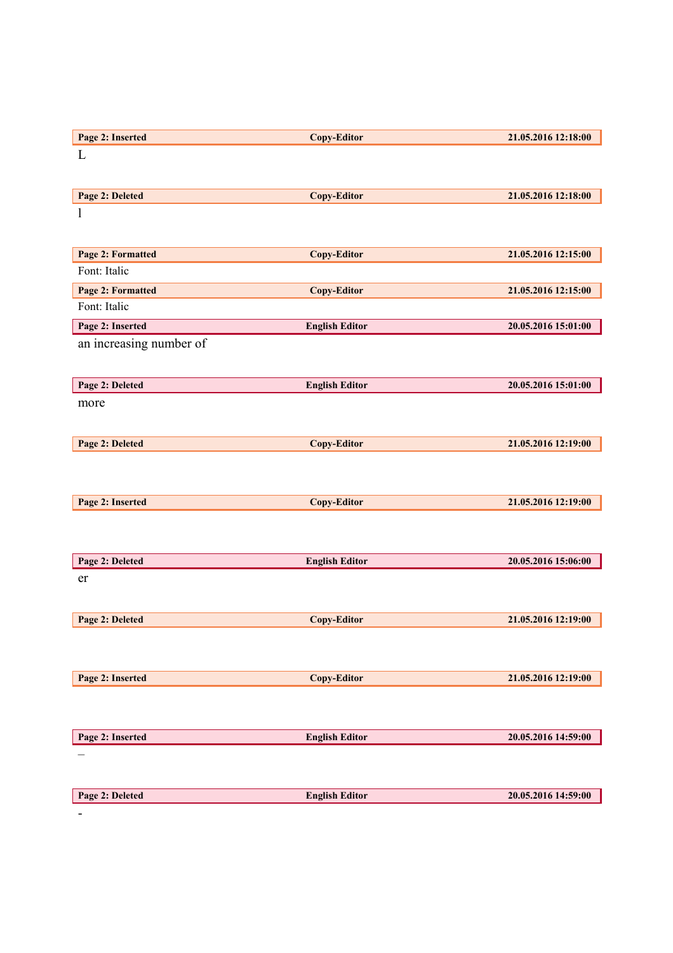| Page 2: Inserted                  | <b>Copy-Editor</b>    | 21.05.2016 12:18:00 |
|-----------------------------------|-----------------------|---------------------|
| L                                 |                       |                     |
|                                   |                       |                     |
| Page 2: Deleted                   | <b>Copy-Editor</b>    | 21.05.2016 12:18:00 |
| $\mathbf{l}$                      |                       |                     |
|                                   |                       |                     |
|                                   |                       | 21.05.2016 12:15:00 |
| Page 2: Formatted<br>Font: Italic | <b>Copy-Editor</b>    |                     |
| Page 2: Formatted                 | <b>Copy-Editor</b>    | 21.05.2016 12:15:00 |
| Font: Italic                      |                       |                     |
|                                   |                       |                     |
| Page 2: Inserted                  | <b>English Editor</b> | 20.05.2016 15:01:00 |
| an increasing number of           |                       |                     |
|                                   |                       |                     |
| Page 2: Deleted                   | <b>English Editor</b> | 20.05.2016 15:01:00 |
| more                              |                       |                     |
|                                   |                       |                     |
| Page 2: Deleted                   | <b>Copy-Editor</b>    | 21.05.2016 12:19:00 |
|                                   |                       |                     |
|                                   |                       |                     |
|                                   |                       |                     |
| Page 2: Inserted                  | <b>Copy-Editor</b>    | 21.05.2016 12:19:00 |
|                                   |                       |                     |
|                                   |                       |                     |
| Page 2: Deleted                   | <b>English Editor</b> | 20.05.2016 15:06:00 |
| er                                |                       |                     |
|                                   |                       |                     |
| Page 2: Deleted                   | <b>Copy-Editor</b>    | 21.05.2016 12:19:00 |
|                                   |                       |                     |
|                                   |                       |                     |
|                                   |                       |                     |
| Page 2: Inserted                  | <b>Copy-Editor</b>    | 21.05.2016 12:19:00 |
|                                   |                       |                     |
|                                   |                       |                     |
| Page 2: Inserted                  | <b>English Editor</b> | 20.05.2016 14:59:00 |
|                                   |                       |                     |
|                                   |                       |                     |
| Page 2: Deleted                   | <b>English Editor</b> | 20.05.2016 14:59:00 |
|                                   |                       |                     |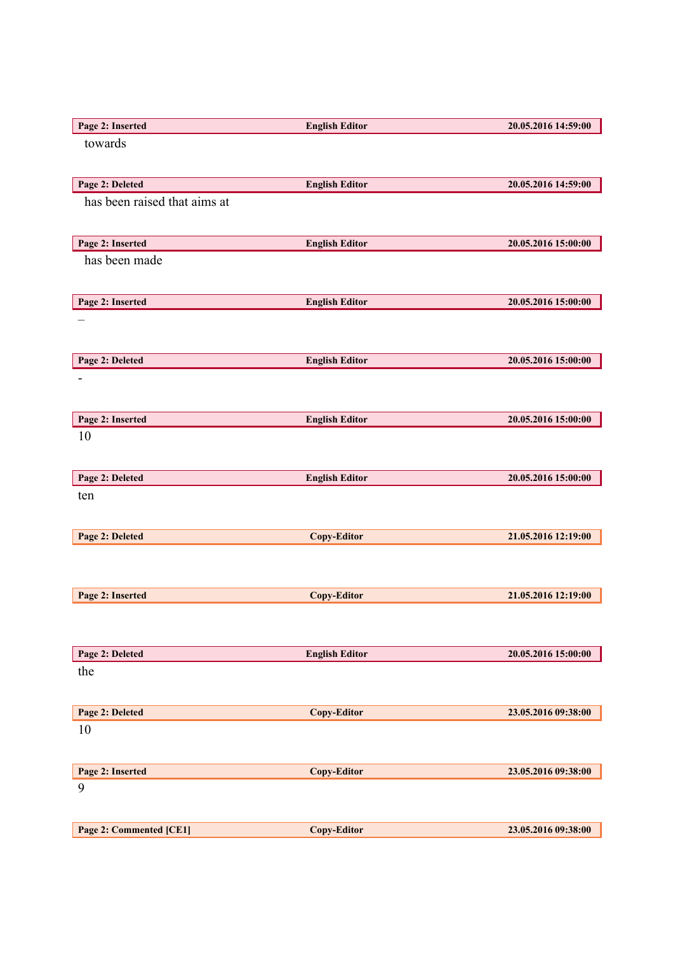| Page 2: Inserted             | <b>English Editor</b> | 20.05.2016 14:59:00 |
|------------------------------|-----------------------|---------------------|
| towards                      |                       |                     |
|                              |                       |                     |
| Page 2: Deleted              | <b>English Editor</b> | 20.05.2016 14:59:00 |
| has been raised that aims at |                       |                     |
|                              |                       |                     |
| Page 2: Inserted             | <b>English Editor</b> | 20.05.2016 15:00:00 |
| has been made                |                       |                     |
|                              |                       |                     |
| Page 2: Inserted             | <b>English Editor</b> | 20.05.2016 15:00:00 |
|                              |                       |                     |
|                              |                       |                     |
| Page 2: Deleted              | <b>English Editor</b> | 20.05.2016 15:00:00 |
|                              |                       |                     |
|                              |                       |                     |
| Page 2: Inserted             | <b>English Editor</b> | 20.05.2016 15:00:00 |
| 10                           |                       |                     |
|                              |                       |                     |
| Page 2: Deleted              | <b>English Editor</b> | 20.05.2016 15:00:00 |
| ten                          |                       |                     |
|                              |                       |                     |
| Page 2: Deleted              | <b>Copy-Editor</b>    | 21.05.2016 12:19:00 |
|                              |                       |                     |
|                              |                       |                     |
| Page 2: Inserted             | <b>Copy-Editor</b>    | 21.05.2016 12:19:00 |
|                              |                       |                     |
|                              |                       |                     |
| Page 2: Deleted              | <b>English Editor</b> | 20.05.2016 15:00:00 |
| the                          |                       |                     |
|                              |                       |                     |
| Page 2: Deleted              | <b>Copy-Editor</b>    | 23.05.2016 09:38:00 |
| 10                           |                       |                     |
|                              |                       |                     |
| Page 2: Inserted             | <b>Copy-Editor</b>    | 23.05.2016 09:38:00 |
| 9                            |                       |                     |
|                              |                       |                     |
| Page 2: Commented [CE1]      | <b>Copy-Editor</b>    | 23.05.2016 09:38:00 |
|                              |                       |                     |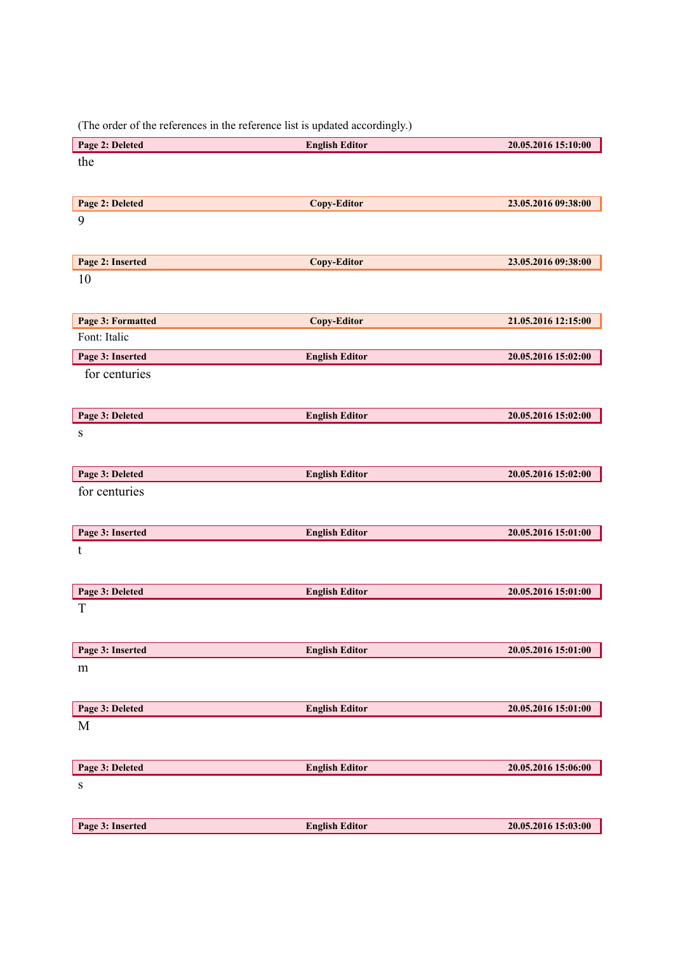(The order of the references in the reference list is updated accordingly.)

| Page 2: Deleted   | <b>English Editor</b> | 20.05.2016 15:10:00 |
|-------------------|-----------------------|---------------------|
| the               |                       |                     |
|                   |                       |                     |
| Page 2: Deleted   | <b>Copy-Editor</b>    | 23.05.2016 09:38:00 |
| 9                 |                       |                     |
|                   |                       |                     |
|                   |                       |                     |
| Page 2: Inserted  | <b>Copy-Editor</b>    | 23.05.2016 09:38:00 |
| 10                |                       |                     |
|                   |                       |                     |
| Page 3: Formatted | <b>Copy-Editor</b>    | 21.05.2016 12:15:00 |
| Font: Italic      |                       |                     |
| Page 3: Inserted  | <b>English Editor</b> | 20.05.2016 15:02:00 |
| for centuries     |                       |                     |
|                   |                       |                     |
| Page 3: Deleted   | <b>English Editor</b> | 20.05.2016 15:02:00 |
| ${\bf S}$         |                       |                     |
|                   |                       |                     |
|                   |                       |                     |
| Page 3: Deleted   | <b>English Editor</b> | 20.05.2016 15:02:00 |
| for centuries     |                       |                     |
|                   |                       |                     |
| Page 3: Inserted  | <b>English Editor</b> | 20.05.2016 15:01:00 |
| t                 |                       |                     |
|                   |                       |                     |
| Page 3: Deleted   | <b>English Editor</b> | 20.05.2016 15:01:00 |
| $\mathbf T$       |                       |                     |
|                   |                       |                     |
|                   |                       |                     |
| Page 3: Inserted  | <b>English Editor</b> | 20.05.2016 15:01:00 |
| ${\rm m}$         |                       |                     |
|                   |                       |                     |
| Page 3: Deleted   | <b>English Editor</b> | 20.05.2016 15:01:00 |
| $\mathbf M$       |                       |                     |
|                   |                       |                     |
| Page 3: Deleted   | <b>English Editor</b> | 20.05.2016 15:06:00 |
| ${\bf S}$         |                       |                     |
|                   |                       |                     |
|                   |                       |                     |
| Page 3: Inserted  | <b>English Editor</b> | 20.05.2016 15:03:00 |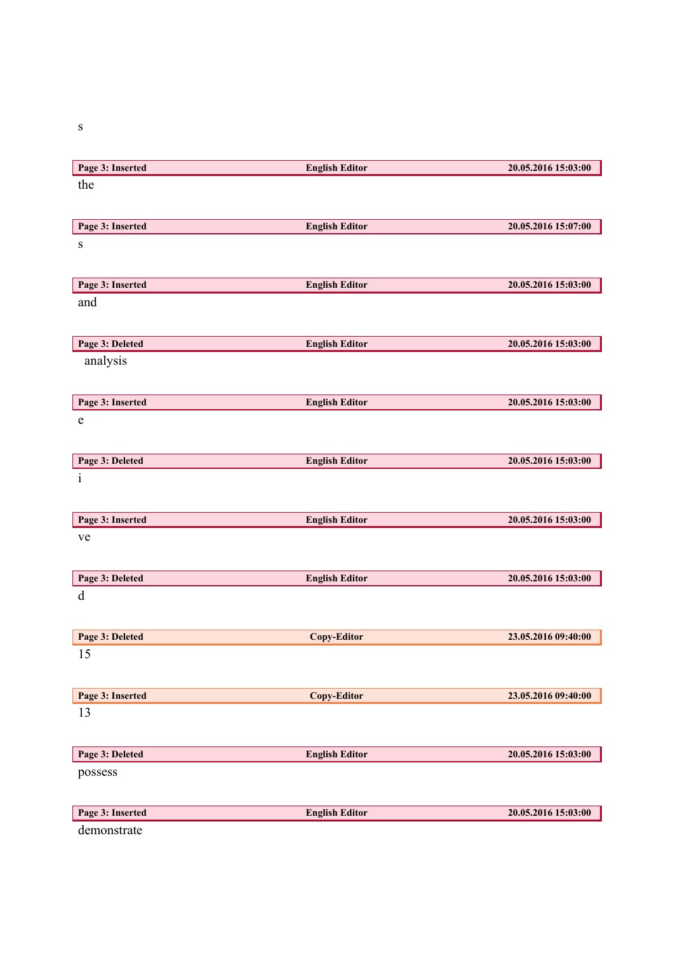s

| Page 3: Inserted | <b>English Editor</b> | 20.05.2016 15:03:00 |
|------------------|-----------------------|---------------------|
| the              |                       |                     |
|                  |                       |                     |
| Page 3: Inserted | <b>English Editor</b> | 20.05.2016 15:07:00 |
| ${\bf S}$        |                       |                     |
|                  |                       |                     |
| Page 3: Inserted | <b>English Editor</b> | 20.05.2016 15:03:00 |
| and              |                       |                     |
|                  |                       |                     |
| Page 3: Deleted  | <b>English Editor</b> | 20.05.2016 15:03:00 |
| analysis         |                       |                     |
|                  |                       |                     |
| Page 3: Inserted | <b>English Editor</b> | 20.05.2016 15:03:00 |
| $\mathbf e$      |                       |                     |
|                  |                       |                     |
| Page 3: Deleted  | <b>English Editor</b> | 20.05.2016 15:03:00 |
| $\mathbf{i}$     |                       |                     |
|                  |                       |                     |
| Page 3: Inserted | <b>English Editor</b> | 20.05.2016 15:03:00 |
| ve               |                       |                     |
|                  |                       |                     |
| Page 3: Deleted  | <b>English Editor</b> | 20.05.2016 15:03:00 |
| $\mathbf d$      |                       |                     |
|                  |                       |                     |
| Page 3: Deleted  | <b>Copy-Editor</b>    | 23.05.2016 09:40:00 |
| 15               |                       |                     |
|                  |                       |                     |
| Page 3: Inserted | <b>Copy-Editor</b>    | 23.05.2016 09:40:00 |
| 13               |                       |                     |
|                  |                       |                     |
| Page 3: Deleted  | <b>English Editor</b> | 20.05.2016 15:03:00 |
| possess          |                       |                     |
|                  |                       |                     |
| Page 3: Inserted | <b>English Editor</b> | 20.05.2016 15:03:00 |
| demonstrate      |                       |                     |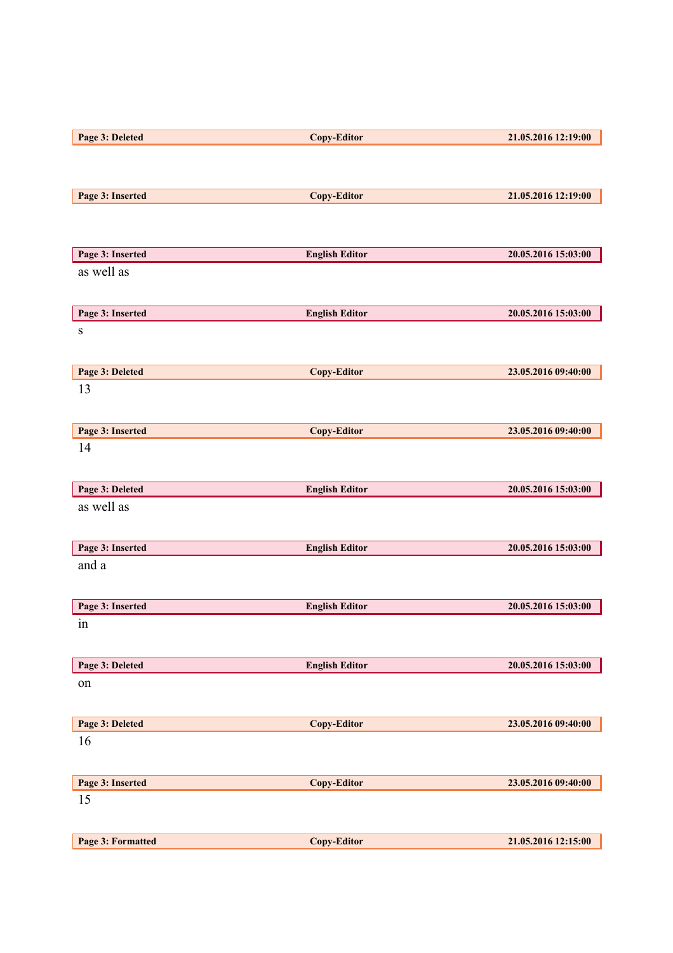| Page 3: Deleted                | <b>Copy-Editor</b>    | 21.05.2016 12:19:00 |
|--------------------------------|-----------------------|---------------------|
|                                |                       |                     |
|                                |                       |                     |
| Page 3: Inserted               | <b>Copy-Editor</b>    | 21.05.2016 12:19:00 |
|                                |                       |                     |
|                                |                       |                     |
|                                |                       |                     |
| Page 3: Inserted<br>as well as | <b>English Editor</b> | 20.05.2016 15:03:00 |
|                                |                       |                     |
|                                |                       |                     |
| Page 3: Inserted               | <b>English Editor</b> | 20.05.2016 15:03:00 |
| ${\bf S}$                      |                       |                     |
|                                |                       |                     |
| Page 3: Deleted                | <b>Copy-Editor</b>    | 23.05.2016 09:40:00 |
| 13                             |                       |                     |
|                                |                       |                     |
| Page 3: Inserted               | <b>Copy-Editor</b>    | 23.05.2016 09:40:00 |
| 14                             |                       |                     |
|                                |                       |                     |
| Page 3: Deleted                | <b>English Editor</b> | 20.05.2016 15:03:00 |
| as well as                     |                       |                     |
|                                |                       |                     |
|                                |                       |                     |
| Page 3: Inserted<br>and a      | <b>English Editor</b> | 20.05.2016 15:03:00 |
|                                |                       |                     |
|                                |                       |                     |
| Page 3: Inserted               | <b>English Editor</b> | 20.05.2016 15:03:00 |
| in                             |                       |                     |
|                                |                       |                     |
| Page 3: Deleted                | <b>English Editor</b> | 20.05.2016 15:03:00 |
| on                             |                       |                     |
|                                |                       |                     |
| Page 3: Deleted                | <b>Copy-Editor</b>    | 23.05.2016 09:40:00 |
| 16                             |                       |                     |
|                                |                       |                     |
| Page 3: Inserted               | <b>Copy-Editor</b>    | 23.05.2016 09:40:00 |
| 15                             |                       |                     |
|                                |                       |                     |
|                                |                       |                     |
| Page 3: Formatted              | <b>Copy-Editor</b>    | 21.05.2016 12:15:00 |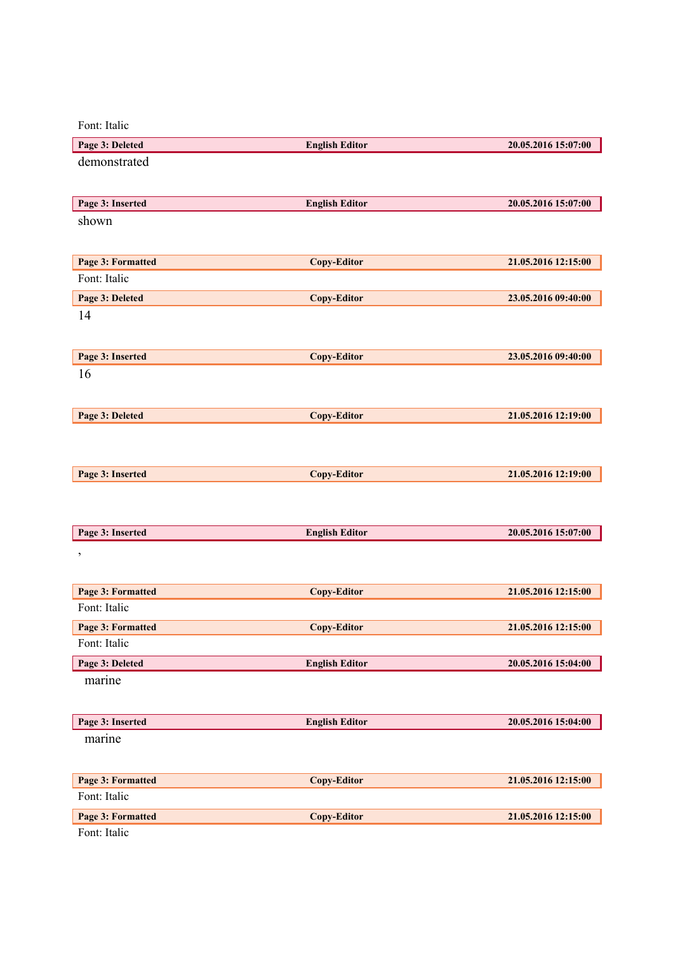Font: Italic

| Page 3: Deleted                   | <b>English Editor</b> | 20.05.2016 15:07:00 |
|-----------------------------------|-----------------------|---------------------|
| demonstrated                      |                       |                     |
|                                   |                       |                     |
| Page 3: Inserted                  | <b>English Editor</b> | 20.05.2016 15:07:00 |
| shown                             |                       |                     |
|                                   |                       |                     |
|                                   |                       |                     |
| Page 3: Formatted<br>Font: Italic | <b>Copy-Editor</b>    | 21.05.2016 12:15:00 |
|                                   |                       |                     |
| Page 3: Deleted                   | <b>Copy-Editor</b>    | 23.05.2016 09:40:00 |
| 14                                |                       |                     |
|                                   |                       |                     |
| Page 3: Inserted                  | <b>Copy-Editor</b>    | 23.05.2016 09:40:00 |
| 16                                |                       |                     |
|                                   |                       |                     |
| Page 3: Deleted                   | <b>Copy-Editor</b>    | 21.05.2016 12:19:00 |
|                                   |                       |                     |
|                                   |                       |                     |
| Page 3: Inserted                  | <b>Copy-Editor</b>    | 21.05.2016 12:19:00 |
|                                   |                       |                     |
|                                   |                       |                     |
|                                   |                       |                     |
| Page 3: Inserted                  | <b>English Editor</b> | 20.05.2016 15:07:00 |
| $\pmb{\mathcal{E}}$               |                       |                     |
|                                   |                       |                     |
| Page 3: Formatted                 | <b>Copy-Editor</b>    | 21.05.2016 12:15:00 |
| Font: Italic                      |                       |                     |
| Page 3: Formatted                 | <b>Copy-Editor</b>    | 21.05.2016 12:15:00 |
| Font: Italic                      |                       |                     |
| Page 3: Deleted                   | <b>English Editor</b> | 20.05.2016 15:04:00 |
| marine                            |                       |                     |
|                                   |                       |                     |
| Page 3: Inserted                  | <b>English Editor</b> | 20.05.2016 15:04:00 |
| marine                            |                       |                     |
|                                   |                       |                     |
|                                   |                       |                     |
| Page 3: Formatted                 | <b>Copy-Editor</b>    | 21.05.2016 12:15:00 |
| Font: Italic                      |                       |                     |
| Page 3: Formatted<br>Font: Italic | Copy-Editor           | 21.05.2016 12:15:00 |
|                                   |                       |                     |